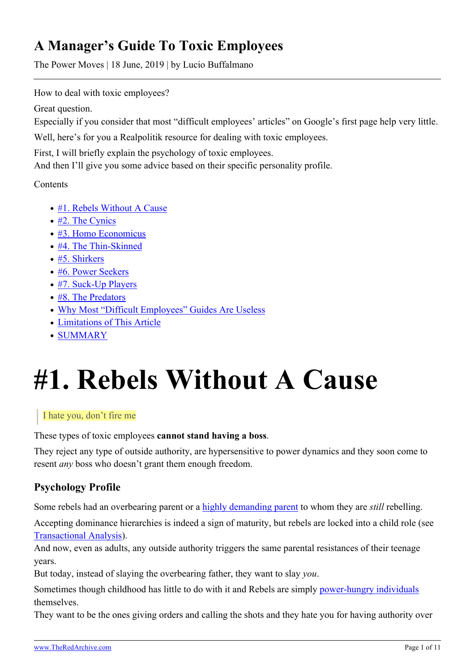# **A Manager's Guide To Toxic Employees**

The Power Moves | 18 June, 2019 | by Lucio Buffalmano

How to deal with toxic employees?

Great question.

Especially if you consider that most "difficult employees' articles" on Google's first page help very little.

Well, here's for you a Realpolitik resource for dealing with toxic employees.

First, I will briefly explain the psychology of toxic employees.

And then I'll give you some advice based on their specific personality profile.

**Contents** 

- [#1. Rebels Without A Cause](#page--1-0)
- [#2. The Cynics](#page--1-0)
- [#3. Homo Economicus](#page--1-0)
- [#4. The Thin-Skinned](#page--1-0)
- [#5. Shirkers](#page--1-0)
- [#6. Power Seekers](#page--1-0)
- [#7. Suck-Up Players](#page--1-0)
- [#8. The Predators](#page--1-0)
- [Why Most "Difficult Employees" Guides Are Useless](#page--1-0)
- [Limitations of This Article](#page--1-0)
- [SUMMARY](#page--1-0)

# **#1. Rebels Without A Cause**

#### I hate you, don't fire me

These types of toxic employees **cannot stand having a boss**.

They reject any type of outside authority, are hypersensitive to power dynamics and they soon come to resent *any* boss who doesn't grant them enough freedom.

### **Psychology Profile**

Some rebels had an overbearing parent or a [highly demanding parent](https://thepowermoves.com/will-i-ever-be-good-enough/) to whom they are *still* rebelling.

Accepting dominance hierarchies is indeed a sign of maturity, but rebels are locked into a child role (see [Transactional Analysis\)](https://thepowermoves.com/im-ok-youre-ok-summary-review/).

And now, even as adults, any outside authority triggers the same parental resistances of their teenage years.

But today, instead of slaying the overbearing father, they want to slay *you*.

Sometimes though childhood has little to do with it and Rebels are simply [power-hungry individuals](https://thepowermoves.com/the-power-hungry/) themselves.

They want to be the ones giving orders and calling the shots and they hate you for having authority over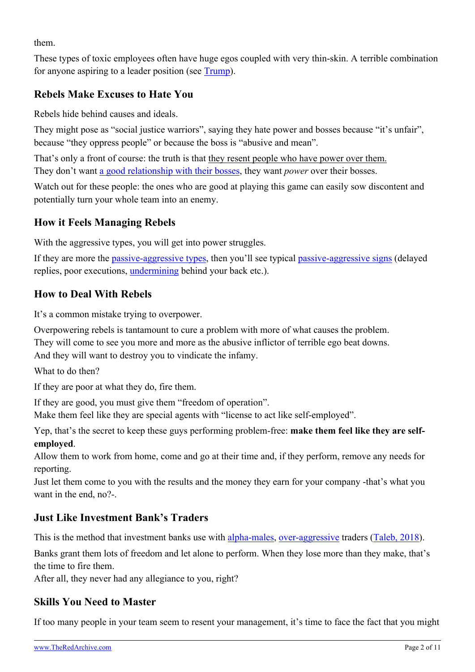them.

These types of toxic employees often have huge egos coupled with very thin-skin. A terrible combination for anyone aspiring to a leader position (see [Trump](https://thepowermoves.com/is-trump-a-sociopath/)).

# **Rebels Make Excuses to Hate You**

Rebels hide behind causes and ideals.

They might pose as "social justice warriors", saying they hate power and bosses because "it's unfair", because "they oppress people" or because the boss is "abusive and mean".

That's only a front of course: the truth is that they resent people who have power over them. They don't want [a good relationship with their bosses](https://thepowermoves.com/managing-your-boss-for-career-advancement/), they want *power* over their bosses.

Watch out for these people: the ones who are good at playing this game can easily sow discontent and potentially turn your whole team into an enemy.

# **How it Feels Managing Rebels**

With the aggressive types, you will get into power struggles.

If they are more the [passive-aggressive types](https://thepowermoves.com/8-keys-to-eliminating-passive-aggressiveness/), then you'll see typical [passive-aggressive signs](https://thepowermoves.com/passive-aggressive/) (delayed replies, poor executions, [undermining](https://thepowermoves.com/how-to-stop-people-undermining-you/) behind your back etc.).

# **How to Deal With Rebels**

It's a common mistake trying to overpower.

Overpowering rebels is tantamount to cure a problem with more of what causes the problem.

They will come to see you more and more as the abusive inflictor of terrible ego beat downs.

And they will want to destroy you to vindicate the infamy.

What to do then?

If they are poor at what they do, fire them.

If they are good, you must give them "freedom of operation".

Make them feel like they are special agents with "license to act like self-employed".

Yep, that's the secret to keep these guys performing problem-free: **make them feel like they are selfemployed**.

Allow them to work from home, come and go at their time and, if they perform, remove any needs for reporting.

Just let them come to you with the results and the money they earn for your company -that's what you want in the end, no?-.

# **Just Like Investment Bank's Traders**

This is the method that investment banks use with [alpha-males,](https://thepowermoves.com/alpha-male-body-language/) [over-aggressive](https://thepowermoves.com/the-7-archetypes-of-dominance/) traders [\(Taleb, 2018](https://thepowermoves.com/skin-in-the-game/)).

Banks grant them lots of freedom and let alone to perform. When they lose more than they make, that's the time to fire them.

After all, they never had any allegiance to you, right?

# **Skills You Need to Master**

If too many people in your team seem to resent your management, it's time to face the fact that you might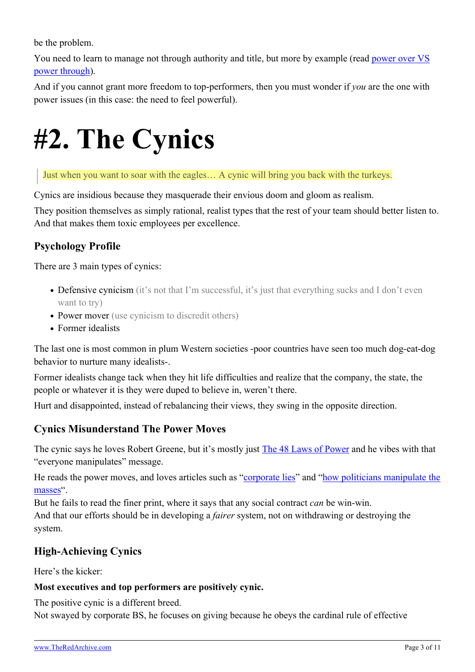be the problem.

You need to learn to manage not through authority and title, but more by example (read [power over VS](https://thepowermoves.com/forum/topic/power-over-vs-power-through-the-essence-of-leaderhship-power/#postid-88) [power through\)](https://thepowermoves.com/forum/topic/power-over-vs-power-through-the-essence-of-leaderhship-power/#postid-88).

And if you cannot grant more freedom to top-performers, then you must wonder if *you* are the one with power issues (in this case: the need to feel powerful).

# **#2. The Cynics**

Just when you want to soar with the eagles… A cynic will bring you back with the turkeys.

Cynics are insidious because they masquerade their envious doom and gloom as realism.

They position themselves as simply rational, realist types that the rest of your team should better listen to. And that makes them toxic employees per excellence.

# **Psychology Profile**

There are 3 main types of cynics:

- Defensive cynicism (it's not that I'm successful, it's just that everything sucks and I don't even want to try)
- Power mover (use cynicism to discredit others)
- Former idealists

The last one is most common in plum Western societies -poor countries have seen too much dog-eat-dog behavior to nurture many idealists-.

Former idealists change tack when they hit life difficulties and realize that the company, the state, the people or whatever it is they were duped to believe in, weren't there.

Hurt and disappointed, instead of rebalancing their views, they swing in the opposite direction.

### **Cynics Misunderstand The Power Moves**

The cynic says he loves Robert Greene, but it's mostly just [The 48 Laws of Power](https://thepowermoves.com/48-laws-of-power-summary/) and he vibes with that "everyone manipulates" message.

He reads the power moves, and loves articles such as ["corporate lies](https://thepowermoves.com/corporate-lies/)" and ["how politicians manipulate the](https://thepowermoves.com/the-psychology-of-political-persuasion/) [masses"](https://thepowermoves.com/the-psychology-of-political-persuasion/).

But he fails to read the finer print, where it says that any social contract *can* be win-win.

And that our efforts should be in developing a *fairer* system, not on withdrawing or destroying the system.

# **High-Achieving Cynics**

Here's the kicker:

#### **Most executives and top performers are positively cynic.**

The positive cynic is a different breed.

Not swayed by corporate BS, he focuses on giving because he obeys the cardinal rule of effective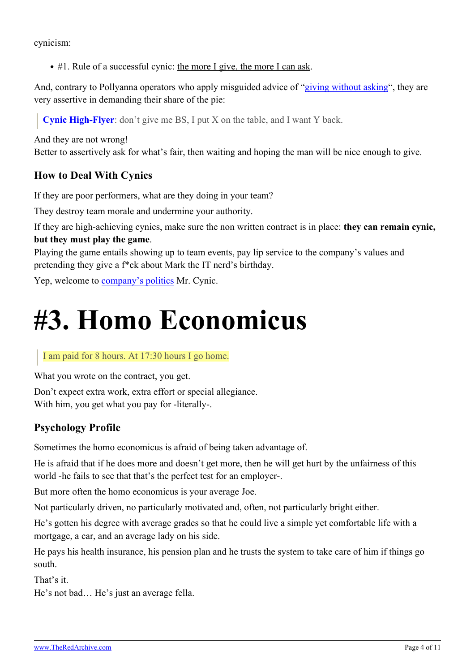cynicism:

#1. Rule of a successful cynic: the more I give, the more I can ask.

And, contrary to Pollyanna operators who apply misguided advice of ["giving without asking"](https://thepowermoves.com/think-and-grow-rich/), they are very assertive in demanding their share of the pie:

**Cynic High-Flyer**: don't give me BS, I put X on the table, and I want Y back.

And they are not wrong!

Better to assertively ask for what's fair, then waiting and hoping the man will be nice enough to give.

# **How to Deal With Cynics**

If they are poor performers, what are they doing in your team?

They destroy team morale and undermine your authority.

If they are high-achieving cynics, make sure the non written contract is in place: **they can remain cynic, but they must play the game**.

Playing the game entails showing up to team events, pay lip service to the company's values and pretending they give a f\*ck about Mark the IT nerd's birthday.

Yep, welcome to [company's politics](https://thepowermoves.com/office-politics/) Mr. Cynic.

# **#3. Homo Economicus**

#### I am paid for 8 hours. At 17:30 hours I go home.

What you wrote on the contract, you get.

Don't expect extra work, extra effort or special allegiance. With him, you get what you pay for -literally-.

# **Psychology Profile**

Sometimes the homo economicus is afraid of being taken advantage of.

He is afraid that if he does more and doesn't get more, then he will get hurt by the unfairness of this world -he fails to see that that's the perfect test for an employer-.

But more often the homo economicus is your average Joe.

Not particularly driven, no particularly motivated and, often, not particularly bright either.

He's gotten his degree with average grades so that he could live a simple yet comfortable life with a mortgage, a car, and an average lady on his side.

He pays his health insurance, his pension plan and he trusts the system to take care of him if things go south.

That's it.

He's not bad… He's just an average fella.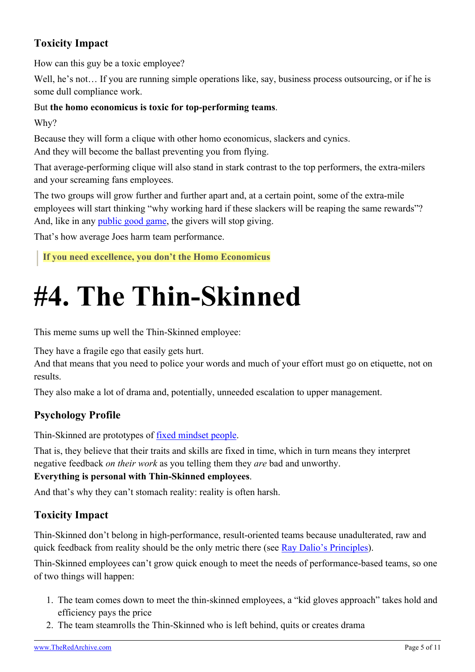# **Toxicity Impact**

How can this guy be a toxic employee?

Well, he's not... If you are running simple operations like, say, business process outsourcing, or if he is some dull compliance work.

#### But **the homo economicus is toxic for top-performing teams**.

Why?

Because they will form a clique with other homo economicus, slackers and cynics. And they will become the ballast preventing you from flying.

That average-performing clique will also stand in stark contrast to the top performers, the extra-milers and your screaming fans employees.

The two groups will grow further and further apart and, at a certain point, some of the extra-mile employees will start thinking "why working hard if these slackers will be reaping the same rewards"? And, like in any [public good game,](https://en.wikipedia.org/wiki/Public_goods_game) the givers will stop giving.

That's how average Joes harm team performance.

**If you need excellence, you don't the Homo Economicus**

# **#4. The Thin-Skinned**

This meme sums up well the Thin-Skinned employee:

They have a fragile ego that easily gets hurt.

And that means that you need to police your words and much of your effort must go on etiquette, not on results.

They also make a lot of drama and, potentially, unneeded escalation to upper management.

# **Psychology Profile**

Thin-Skinned are prototypes of [fixed mindset people](https://thepowermoves.com/mindset-carol-dweck-summary/).

That is, they believe that their traits and skills are fixed in time, which in turn means they interpret negative feedback *on their work* as you telling them they *are* bad and unworthy.

#### **Everything is personal with Thin-Skinned employees**.

And that's why they can't stomach reality: reality is often harsh.

# **Toxicity Impact**

Thin-Skinned don't belong in high-performance, result-oriented teams because unadulterated, raw and quick feedback from reality should be the only metric there (see [Ray Dalio's Principles](https://thepowermoves.com/principles-by-ray-dalio-summary/)).

Thin-Skinned employees can't grow quick enough to meet the needs of performance-based teams, so one of two things will happen:

- 1. The team comes down to meet the thin-skinned employees, a "kid gloves approach" takes hold and efficiency pays the price
- 2. The team steamrolls the Thin-Skinned who is left behind, quits or creates drama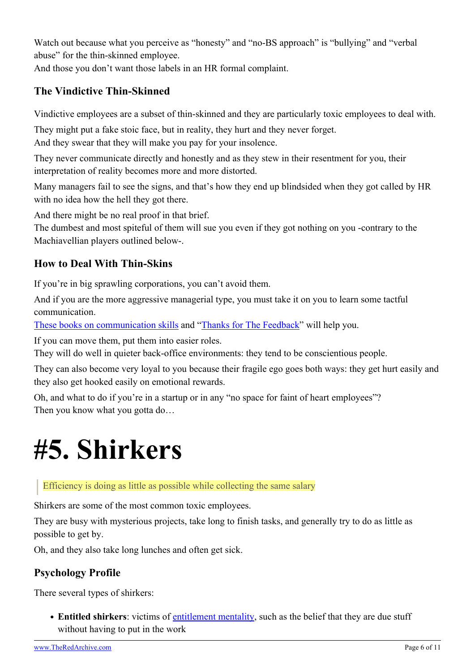Watch out because what you perceive as "honesty" and "no-BS approach" is "bullying" and "verbal abuse" for the thin-skinned employee.

And those you don't want those labels in an HR formal complaint.

# **The Vindictive Thin-Skinned**

Vindictive employees are a subset of thin-skinned and they are particularly toxic employees to deal with.

They might put a fake stoic face, but in reality, they hurt and they never forget.

And they swear that they will make you pay for your insolence.

They never communicate directly and honestly and as they stew in their resentment for you, their interpretation of reality becomes more and more distorted.

Many managers fail to see the signs, and that's how they end up blindsided when they got called by HR with no idea how the hell they got there.

And there might be no real proof in that brief.

The dumbest and most spiteful of them will sue you even if they got nothing on you -contrary to the Machiavellian players outlined below-.

# **How to Deal With Thin-Skins**

If you're in big sprawling corporations, you can't avoid them.

And if you are the more aggressive managerial type, you must take it on you to learn some tactful communication.

[These books on communication skills](https://thepowermoves.com/best-communication-skills-books/) and "[Thanks for The Feedback](https://thepowermoves.com/thanks-for-the-feedback/)" will help you.

If you can move them, put them into easier roles.

They will do well in quieter back-office environments: they tend to be conscientious people.

They can also become very loyal to you because their fragile ego goes both ways: they get hurt easily and they also get hooked easily on emotional rewards.

Oh, and what to do if you're in a startup or in any "no space for faint of heart employees"? Then you know what you gotta do…

# **#5. Shirkers**

#### Efficiency is doing as little as possible while collecting the same salary

Shirkers are some of the most common toxic employees.

They are busy with mysterious projects, take long to finish tasks, and generally try to do as little as possible to get by.

Oh, and they also take long lunches and often get sick.

# **Psychology Profile**

There several types of shirkers:

**Entitled shirkers**: victims of [entitlement mentality,](https://thepowermoves.com/overcome-entitlement-mentality/) such as the belief that they are due stuff without having to put in the work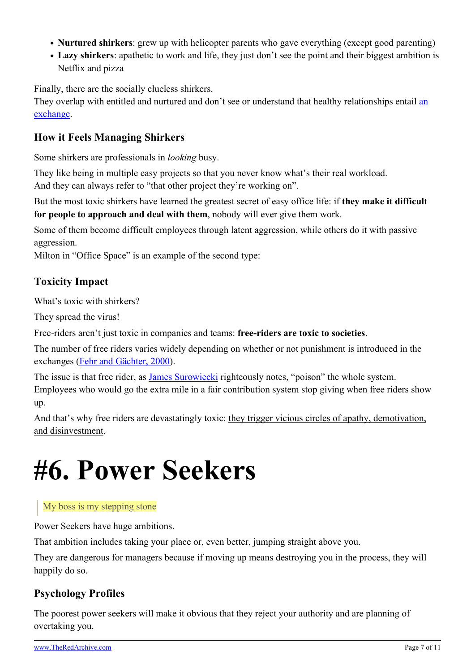- **Nurtured shirkers**: grew up with helicopter parents who gave everything (except good parenting)
- **Lazy shirkers**: apathetic to work and life, they just don't see the point and their biggest ambition is Netflix and pizza

Finally, there are the socially clueless shirkers.

They overlap with entitled [an](https://thepowermoves.com/the-social-exchange-rule/)d nurtured and don't see or understand that healthy relationships entail an [exchange.](https://thepowermoves.com/the-social-exchange-rule/)

#### **How it Feels Managing Shirkers**

Some shirkers are professionals in *looking* busy.

They like being in multiple easy projects so that you never know what's their real workload. And they can always refer to "that other project they're working on".

But the most toxic shirkers have learned the greatest secret of easy office life: if **they make it difficult for people to approach and deal with them**, nobody will ever give them work.

Some of them become difficult employees through latent aggression, while others do it with passive aggression.

Milton in "Office Space" is an example of the second type:

# **Toxicity Impact**

What's toxic with shirkers?

They spread the virus!

Free-riders aren't just toxic in companies and teams: **free-riders are toxic to societies**.

The number of free riders varies widely depending on whether or not punishment is introduced in the exchanges [\(Fehr and Gächter, 2000\)](https://www.jstor.org/stable/117319?seq=1#page_scan_tab_contents).

The issue is that free rider, as [James Surowiecki](https://thepowermoves.com/the-wisdom-of-crowds/) righteously notes, "poison" the whole system. Employees who would go the extra mile in a fair contribution system stop giving when free riders show up.

And that's why free riders are devastatingly toxic: they trigger vicious circles of apathy, demotivation, and disinvestment.

# **#6. Power Seekers**

#### My boss is my stepping stone

Power Seekers have huge ambitions.

That ambition includes taking your place or, even better, jumping straight above you.

They are dangerous for managers because if moving up means destroying you in the process, they will happily do so.

### **Psychology Profiles**

The poorest power seekers will make it obvious that they reject your authority and are planning of overtaking you.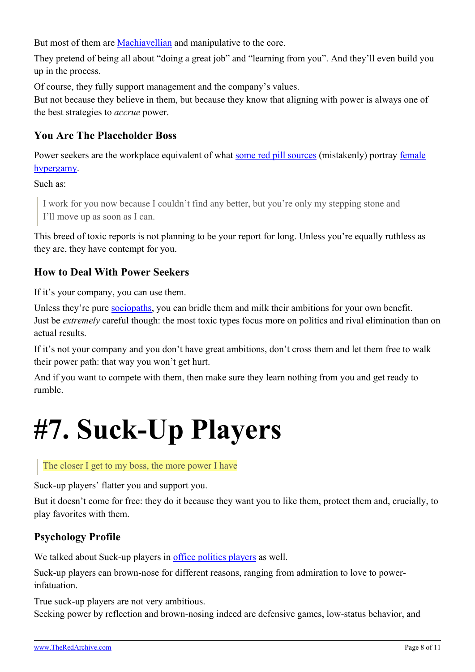But most of them are [Machiavellian](https://thepowermoves.com/the-prince-by-niccolo-machiavelli/) and manipulative to the core.

They pretend of being all about "doing a great job" and "learning from you". And they'll even build you up in the process.

Of course, they fully support management and the company's values.

But not because they believe in them, but because they know that aligning with power is always one of the best strategies to *accrue* power.

# **You Are The Placeholder Boss**

Power seekers are the workplace equivalent of what [some red pill sources](https://thepowermoves.com/the-rational-male/) (mistakenly) portray [female](https://thepowermoves.com/hypergamy/) [hypergamy.](https://thepowermoves.com/hypergamy/)

Such as:

I work for you now because I couldn't find any better, but you're only my stepping stone and I'll move up as soon as I can.

This breed of toxic reports is not planning to be your report for long. Unless you're equally ruthless as they are, they have contempt for you.

### **How to Deal With Power Seekers**

If it's your company, you can use them.

Unless they're pure [sociopaths](https://thepowermoves.com/the-sociopath-next-door/), you can bridle them and milk their ambitions for your own benefit. Just be *extremely* careful though: the most toxic types focus more on politics and rival elimination than on actual results.

If it's not your company and you don't have great ambitions, don't cross them and let them free to walk their power path: that way you won't get hurt.

And if you want to compete with them, then make sure they learn nothing from you and get ready to rumble.

# **#7. Suck-Up Players**

The closer I get to my boss, the more power I have

Suck-up players' flatter you and support you.

But it doesn't come for free: they do it because they want you to like them, protect them and, crucially, to play favorites with them.

### **Psychology Profile**

We talked about Suck-up players in [office politics players](https://thepowermoves.com/office-politics-players/) as well.

Suck-up players can brown-nose for different reasons, ranging from admiration to love to powerinfatuation.

True suck-up players are not very ambitious.

Seeking power by reflection and brown-nosing indeed are defensive games, low-status behavior, and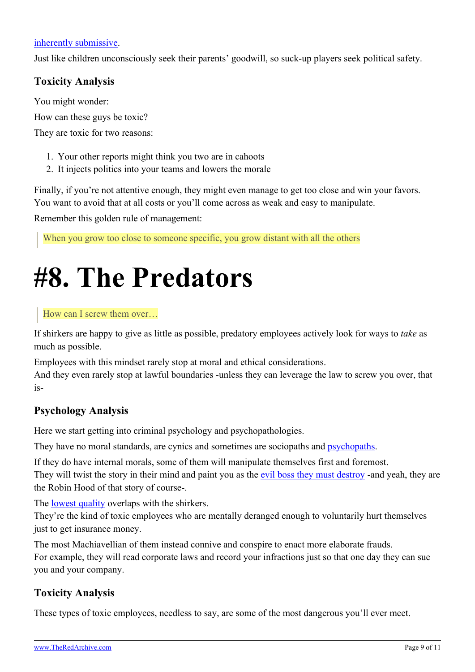#### [inherently submissive.](https://thepowermoves.com/submissive-body-language/)

Just like children unconsciously seek their parents' goodwill, so suck-up players seek political safety.

### **Toxicity Analysis**

You might wonder: How can these guys be toxic?

They are toxic for two reasons:

- 1. Your other reports might think you two are in cahoots
- 2. It injects politics into your teams and lowers the morale

Finally, if you're not attentive enough, they might even manage to get too close and win your favors. You want to avoid that at all costs or you'll come across as weak and easy to manipulate.

Remember this golden rule of management:

When you grow too close to someone specific, you grow distant with all the others

# **#8. The Predators**

#### How can I screw them over…

If shirkers are happy to give as little as possible, predatory employees actively look for ways to *take* as much as possible.

Employees with this mindset rarely stop at moral and ethical considerations.

And they even rarely stop at lawful boundaries -unless they can leverage the law to screw you over, that is-

#### **Psychology Analysis**

Here we start getting into criminal psychology and psychopathologies.

They have no moral standards, are cynics and sometimes are sociopaths and [psychopaths](https://thepowermoves.com/the-psychopath-whisperer/).

If they do have internal morals, some of them will manipulate themselves first and foremost.

They will twist the story in their mind and paint you as the [evil boss they must destroy](https://thepowermoves.com/dealing-with-bad-boss/) -and yeah, they are the Robin Hood of that story of course-.

The [lowest quality](https://thepowermoves.com/low-quality-men/) overlaps with the shirkers.

They're the kind of toxic employees who are mentally deranged enough to voluntarily hurt themselves just to get insurance money.

The most Machiavellian of them instead connive and conspire to enact more elaborate frauds. For example, they will read corporate laws and record your infractions just so that one day they can sue you and your company.

### **Toxicity Analysis**

These types of toxic employees, needless to say, are some of the most dangerous you'll ever meet.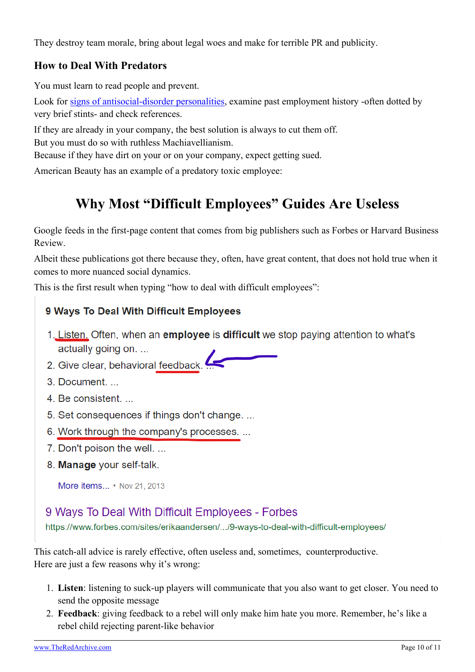They destroy team morale, bring about legal woes and make for terrible PR and publicity.

# **How to Deal With Predators**

You must learn to read people and prevent.

Look for [signs of antisocial-disorder personalities](https://thepowermoves.com/sociopath-signs/), examine past employment history -often dotted by very brief stints- and check references.

If they are already in your company, the best solution is always to cut them off.

But you must do so with ruthless Machiavellianism.

Because if they have dirt on your or on your company, expect getting sued.

American Beauty has an example of a predatory toxic employee:

# **Why Most "Difficult Employees" Guides Are Useless**

Google feeds in the first-page content that comes from big publishers such as Forbes or Harvard Business Review.

Albeit these publications got there because they, often, have great content, that does not hold true when it comes to more nuanced social dynamics.

This is the first result when typing "how to deal with difficult employees":

### 9 Ways To Deal With Difficult Employees

- 1. Listen. Often, when an **employee** is **difficult** we stop paying attention to what's actually going on. ...
- 2. Give clear, behavioral feedback.
- 3. Document....
- 4. Be consistent....
- 5. Set consequences if things don't change...
- 6. Work through the company's processes...
- 7. Don't poison the well. ...
- 8. Manage your self-talk.

More items... • Nov 21, 2013

# 9 Ways To Deal With Difficult Employees - Forbes

https://www.forbes.com/sites/erikaandersen/.../9-ways-to-deal-with-difficult-employees/

This catch-all advice is rarely effective, often useless and, sometimes, counterproductive. Here are just a few reasons why it's wrong:

- 1. **Listen**: listening to suck-up players will communicate that you also want to get closer. You need to send the opposite message
- 2. **Feedback**: giving feedback to a rebel will only make him hate you more. Remember, he's like a rebel child rejecting parent-like behavior